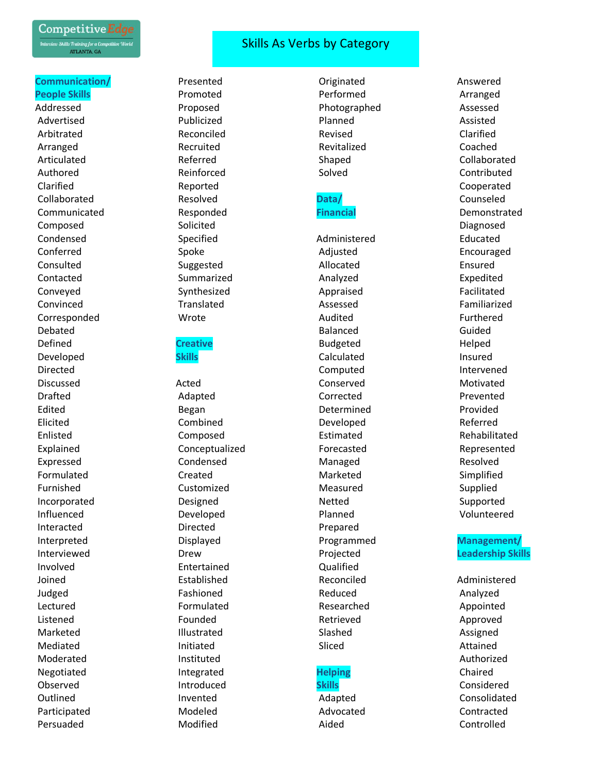

#### **Communication/ People Skills**

Addressed Advertised Arbitrated Arranged Articulated Authored Clarified Collaborated Communicated Composed Condensed Conferred Consulted Contacted Conveyed Convinced **Corresponded** Debated Defined Developed Directed Discussed Drafted Edited Elicited Enlisted Explained Expressed Formulated Furnished Incorporated Influenced Interacted Interpreted Interviewed Involved Joined Judged Lectured Listened Marketed Mediated Moderated Negotiated Observed **Outlined** Participated Persuaded

# Skills As Verbs by Category

Presented Promoted Proposed Publicized Reconciled Recruited Referred Reinforced Reported Resolved Responded Solicited Specified Spoke Suggested Summarized Synthesized Translated Wrote

## **Creative Skills**

Acted Adapted Began Combined Composed Conceptualized Condensed Created Customized Designed Developed Directed Displayed Drew Entertained Established Fashioned Formulated Founded Illustrated Initiated Instituted Integrated Introduced Invented Modeled Modified

Originated Performed Photographed Planned Revised Revitalized Shaped Solved

### **Data/ Financial**

Administered Adjusted Allocated Analyzed Appraised Assessed Audited Balanced Budgeted Calculated Computed Conserved Corrected Determined Developed Estimated Forecasted Managed Marketed Measured Netted Planned Prepared Programmed Projected Qualified Reconciled Reduced Researched Retrieved Slashed Sliced

#### **Helping Skills**

Adapted Advocated Aided

Answered Arranged Assessed Assisted Clarified Coached Collaborated Contributed Cooperated Counseled Demonstrated Diagnosed Educated Encouraged Ensured Expedited Facilitated Familiarized Furthered Guided Helped Insured Intervened Motivated Prevented Provided Referred Rehabilitated Represented Resolved Simplified Supplied Supported Volunteered

## **Management/ Leadership Skills**

Administered Analyzed Appointed Approved Assigned Attained Authorized Chaired Considered Consolidated Contracted Controlled